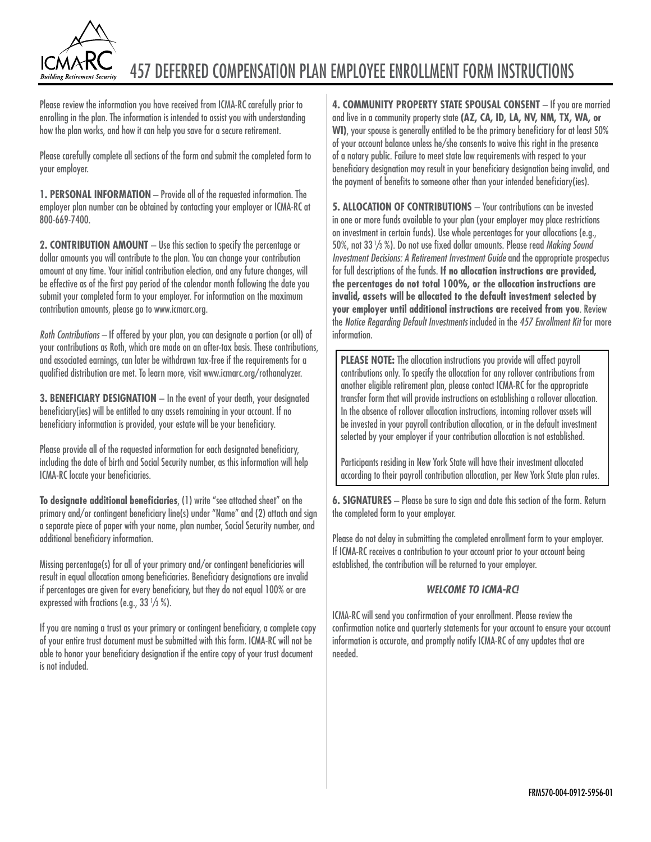

# 457 deferred compensation PLAN EMPLOYEE ENROLLMENT FORM INSTRUCTIONS

Please review the information you have received from ICMA-RC carefully prior to enrolling in the plan. The information is intended to assist you with understanding how the plan works, and how it can help you save for a secure retirement.

Please carefully complete all sections of the form and submit the completed form to your employer.

**1. PERSONAL INFORMATION** – Provide all of the requested information. The employer plan number can be obtained by contacting your employer or ICMA-RC at 800-669-7400.

**2. CONTRIBUTION AMOUNT** – Use this section to specify the percentage or dollar amounts you will contribute to the plan. You can change your contribution amount at any time. Your initial contribution election, and any future changes, will be effective as of the first pay period of the calendar month following the date you submit your completed form to your employer. For information on the maximum contribution amounts, please go to www.icmarc.org.

*Roth Contributions –* If offered by your plan, you can designate a portion (or all) of your contributions as Roth, which are made on an after-tax basis. These contributions, and associated earnings, can later be withdrawn tax-free if the requirements for a qualified distribution are met. To learn more, visit www.icmarc.org/rothanalyzer.

**3. BENEFICIARY DESIGNATION** - In the event of your death, your designated beneficiary(ies) will be entitled to any assets remaining in your account. If no beneficiary information is provided, your estate will be your beneficiary.

Please provide all of the requested information for each designated beneficiary, including the date of birth and Social Security number, as this information will help ICMA-RC locate your beneficiaries.

**To designate additional beneficiaries**, (1) write "see attached sheet" on the primary and/or contingent beneficiary line(s) under "Name" and (2) attach and sign a separate piece of paper with your name, plan number, Social Security number, and additional beneficiary information.

Missing percentage(s) for all of your primary and/or contingent beneficiaries will result in equal allocation among beneficiaries. Beneficiary designations are invalid if percentages are given for every beneficiary, but they do not equal 100% or are expressed with fractions (e.g., 33  $\frac{1}{3}$  %).

If you are naming a trust as your primary or contingent beneficiary, a complete copy of your entire trust document must be submitted with this form. ICMA-RC will not be able to honor your beneficiary designation if the entire copy of your trust document is not included.

**4. COMMUNITY PROPERTY STATE SPOUSAL CONSENT** – If you are married and live in a community property state **(AZ, CA, ID, LA, NV, NM, TX, WA, or WI)**, your spouse is generally entitled to be the primary beneficiary for at least 50% of your account balance unless he/she consents to waive this right in the presence of a notary public. Failure to meet state law requirements with respect to your beneficiary designation may result in your beneficiary designation being invalid, and the payment of benefits to someone other than your intended beneficiary(ies).

**5. ALLOCATION OF CONTRIBUTIONS** - Your contributions can be invested in one or more funds available to your plan (your employer may place restrictions on investment in certain funds). Use whole percentages for your allocations (e.g., 50%, not 33 <sup>1</sup> /3 %). Do not use fixed dollar amounts. Please read *Making Sound Investment Decisions: A Retirement Investment Guide* and the appropriate prospectus for full descriptions of the funds. **If no allocation instructions are provided, the percentages do not total 100%, or the allocation instructions are invalid, assets will be allocated to the default investment selected by your employer until additional instructions are received from you**. Review the *Notice Regarding Default Investments* included in the *457 Enrollment Kit* for more information.

**PLEASE NOTE:** The allocation instructions you provide will affect payroll contributions only. To specify the allocation for any rollover contributions from another eligible retirement plan, please contact ICMA-RC for the appropriate transfer form that will provide instructions on establishing a rollover allocation. In the absence of rollover allocation instructions, incoming rollover assets will be invested in your payroll contribution allocation, or in the default investment selected by your employer if your contribution allocation is not established.

Participants residing in New York State will have their investment allocated according to their payroll contribution allocation, per New York State plan rules.

**6. SIGNATURES** – Please be sure to sign and date this section of the form. Return the completed form to your employer.

Please do not delay in submitting the completed enrollment form to your employer. If ICMA-RC receives a contribution to your account prior to your account being established, the contribution will be returned to your employer.

## *WELCOME TO ICMA-RC!*

ICMA-RC will send you confirmation of your enrollment. Please review the confirmation notice and quarterly statements for your account to ensure your account information is accurate, and promptly notify ICMA-RC of any updates that are needed.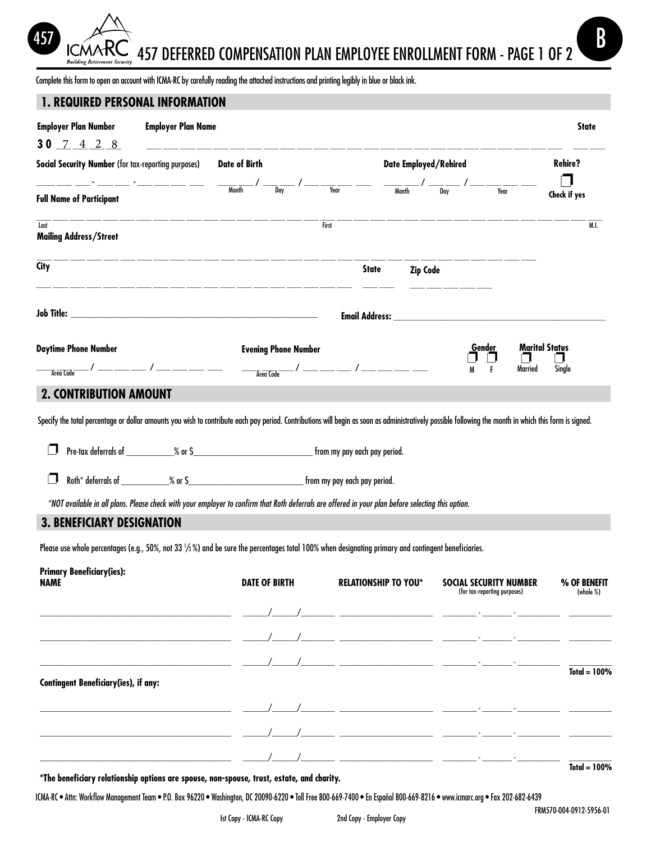457 deferred compensation PLAN EMPLOYEE ENROLLMENT FORM - Page 1 of 2  $\overbrace{157}$   $\overbrace{157}$   $\overbrace{157}$   $\overbrace{157}$   $\overbrace{157}$   $\overbrace{150}$   $\overbrace{100}$   $\overbrace{101}$   $\overbrace{101}$   $\overbrace{101}$   $\overbrace{101}$   $\overbrace{101}$   $\overbrace{101}$   $\overbrace{101}$ 

Complete this form to open an account with ICMA-RC by carefully reading the attached instructions and printing legibly in blue or black ink.

## **1. Required personal information**

**Building Retir** 

| <b>Employer Plan Number</b><br><b>Employer Plan Name</b><br>$30$ $7$ $4$ $2$ $8$                                                                                                                                                                                                                                                                             |                             |                                                                                                                                                                                                                                                                                                                                                                                                                                                                                                                                                                                                                                                      |                                                                                                               | <b>State</b>                               |  |
|--------------------------------------------------------------------------------------------------------------------------------------------------------------------------------------------------------------------------------------------------------------------------------------------------------------------------------------------------------------|-----------------------------|------------------------------------------------------------------------------------------------------------------------------------------------------------------------------------------------------------------------------------------------------------------------------------------------------------------------------------------------------------------------------------------------------------------------------------------------------------------------------------------------------------------------------------------------------------------------------------------------------------------------------------------------------|---------------------------------------------------------------------------------------------------------------|--------------------------------------------|--|
| Social Security Number (for tax-reporting purposes)                                                                                                                                                                                                                                                                                                          | <b>Date of Birth</b>        |                                                                                                                                                                                                                                                                                                                                                                                                                                                                                                                                                                                                                                                      | <b>Date Employed/Rehired</b>                                                                                  |                                            |  |
| <u> 1980 - Andrea Marie III, martin al III a Britannia (b. 19</u><br><b>Full Name of Participant</b>                                                                                                                                                                                                                                                         | $\frac{1}{\sqrt{2}}$ Month  | $\frac{1}{\sqrt{2\pi}}$ / _____ ________________ _                                                                                                                                                                                                                                                                                                                                                                                                                                                                                                                                                                                                   |                                                                                                               | Check if yes                               |  |
| Last<br><b>Mailing Address/Street</b>                                                                                                                                                                                                                                                                                                                        |                             | First                                                                                                                                                                                                                                                                                                                                                                                                                                                                                                                                                                                                                                                |                                                                                                               | M.I.                                       |  |
| <b>City</b><br><u>ang manag manag manag manag manag manag manag manag manag manag manag manag manag manag manag manag m</u>                                                                                                                                                                                                                                  |                             | <b>State</b>                                                                                                                                                                                                                                                                                                                                                                                                                                                                                                                                                                                                                                         | <b>Zip Code</b>                                                                                               |                                            |  |
|                                                                                                                                                                                                                                                                                                                                                              |                             |                                                                                                                                                                                                                                                                                                                                                                                                                                                                                                                                                                                                                                                      | Email Address: North and Second Communications of the Communication of the Communication of the Communication |                                            |  |
| <b>Daytime Phone Number</b>                                                                                                                                                                                                                                                                                                                                  | <b>Evening Phone Number</b> | $\begin{tabular}{c} \hline\hline\hline Area Code \\ \hline \end{tabular} \begin{tabular}{c} {\footnotesize \begin{tabular}{c} {\footnotesize \begin{array}{c} {\footnotesize \begin{array}{c} {\footnotesize \begin{array}{c} {\footnotesize \begin{array}{c} {\footnotesize \begin{array}{c} {\footnotesize \begin{array}{c} {\footnotesize \begin{array}{c} {\footnotesize \begin{array}{c} {\footnotesize \begin{array}{c} {\footnotesize \begin{array}{c} {\footnotesize \begin{array}{c} {\footnotesize \begin{array}{c} {\footnotesize \begin{array}{c} {\footnotesize \begin{array}{c} {\footnotesize \begin{array}{c} {\footnotesize \begin$ | <u>G</u> end <u>er</u><br>F<br>M                                                                              | <b>Marital Status</b><br>Single<br>Married |  |
| <b>2. CONTRIBUTION AMOUNT</b>                                                                                                                                                                                                                                                                                                                                |                             |                                                                                                                                                                                                                                                                                                                                                                                                                                                                                                                                                                                                                                                      |                                                                                                               |                                            |  |
| Specify the total percentage or dollar amounts you wish to contribute each pay period. Contributions will begin as soon as administratively possible following the month in which this form is signed.<br>*NOT available in all plans. Please check with your employer to confirm that Roth deferrals are offered in your plan before selecting this option. |                             |                                                                                                                                                                                                                                                                                                                                                                                                                                                                                                                                                                                                                                                      |                                                                                                               |                                            |  |
| <b>3. BENEFICIARY DESIGNATION</b>                                                                                                                                                                                                                                                                                                                            |                             |                                                                                                                                                                                                                                                                                                                                                                                                                                                                                                                                                                                                                                                      |                                                                                                               |                                            |  |
| Please use whole percentages (e.g., 50%, not 33 1/3%) and be sure the percentages total 100% when designating primary and contingent beneficiaries.                                                                                                                                                                                                          |                             |                                                                                                                                                                                                                                                                                                                                                                                                                                                                                                                                                                                                                                                      |                                                                                                               |                                            |  |
| <b>Primary Beneficiary(ies):</b><br><b>NAME</b>                                                                                                                                                                                                                                                                                                              | <b>DATE OF BIRTH</b>        | <b>RELATIONSHIP TO YOU*</b>                                                                                                                                                                                                                                                                                                                                                                                                                                                                                                                                                                                                                          | SOCIAL SECURITY NUMBER<br>(for tax-reporting purposes)                                                        | % OF BENEFIT<br>(whole %)                  |  |
|                                                                                                                                                                                                                                                                                                                                                              |                             |                                                                                                                                                                                                                                                                                                                                                                                                                                                                                                                                                                                                                                                      |                                                                                                               |                                            |  |
|                                                                                                                                                                                                                                                                                                                                                              |                             | <u> 1980 - Johann Stoff, fransk politik (d. 1980)</u>                                                                                                                                                                                                                                                                                                                                                                                                                                                                                                                                                                                                |                                                                                                               |                                            |  |
| <b>Contingent Beneficiary(ies), if any:</b>                                                                                                                                                                                                                                                                                                                  |                             | <u> 1999 - Andrea Sta</u>                                                                                                                                                                                                                                                                                                                                                                                                                                                                                                                                                                                                                            |                                                                                                               | Total = $100%$                             |  |
|                                                                                                                                                                                                                                                                                                                                                              |                             |                                                                                                                                                                                                                                                                                                                                                                                                                                                                                                                                                                                                                                                      |                                                                                                               |                                            |  |
|                                                                                                                                                                                                                                                                                                                                                              |                             |                                                                                                                                                                                                                                                                                                                                                                                                                                                                                                                                                                                                                                                      |                                                                                                               |                                            |  |

**\*The beneficiary relationship options are spouse, non-spouse, trust, estate, and charity.**

ICMA-RC • Attn: Workflow Management Team • P.O. Box 96220 • Washington, DC 20090-6220 • Toll Free 800-669-7400 • En Español 800-669-8216 • www.icmarc.org • Fax 202-682-6439

\_\_\_\_\_\_\_\_\_\_\_\_\_\_\_\_\_\_\_\_\_\_\_\_\_\_\_\_\_\_\_\_\_\_\_\_\_\_\_\_\_\_\_\_\_ \_\_\_\_\_\_/\_\_\_\_\_\_/\_\_\_\_\_\_\_\_ \_\_\_\_\_\_\_\_\_\_\_\_\_\_\_\_\_\_\_\_\_\_ \_\_\_\_\_\_\_\_ - \_\_\_\_\_\_\_ - \_\_\_\_\_\_\_\_\_\_ \_\_\_\_\_\_\_\_\_\_

**Total = 100%**